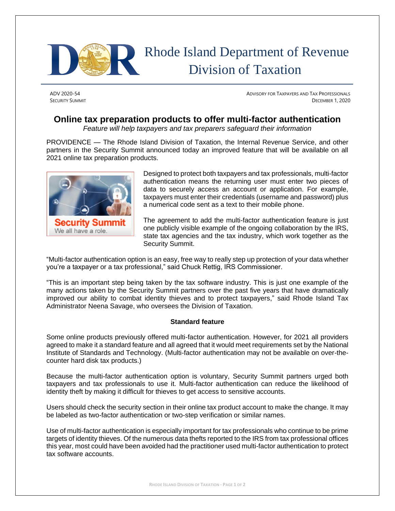

## Rhode Island Department of Revenue Division of Taxation

ADV 2020-54 **ADVISORY FOR TAXPAYERS AND TAX PROFESSIONALS SECURITY SUMMIT** DECEMBER 1, 2020

## **Online tax preparation products to offer multi-factor authentication**

*Feature will help taxpayers and tax preparers safeguard their information*

PROVIDENCE — The Rhode Island Division of Taxation, the Internal Revenue Service, and other partners in the Security Summit announced today an improved feature that will be available on all 2021 online tax preparation products.



Designed to protect both taxpayers and tax professionals, multi-factor authentication means the returning user must enter two pieces of data to securely access an account or application. For example, taxpayers must enter their credentials (username and password) plus a numerical code sent as a text to their mobile phone.

The agreement to add the multi-factor authentication feature is just one publicly visible example of the ongoing collaboration by the IRS, state tax agencies and the tax industry, which work together as the Security Summit.

"Multi-factor authentication option is an easy, free way to really step up protection of your data whether you're a taxpayer or a tax professional," said Chuck Rettig, IRS Commissioner.

"This is an important step being taken by the tax software industry. This is just one example of the many actions taken by the Security Summit partners over the past five years that have dramatically improved our ability to combat identity thieves and to protect taxpayers," said Rhode Island Tax Administrator Neena Savage, who oversees the Division of Taxation.

## **Standard feature**

Some online products previously offered multi-factor authentication. However, for 2021 all providers agreed to make it a standard feature and all agreed that it would meet requirements set by the National Institute of Standards and Technology. (Multi-factor authentication may not be available on over-thecounter hard disk tax products.)

Because the multi-factor authentication option is voluntary, Security Summit partners urged both taxpayers and tax professionals to use it. Multi-factor authentication can reduce the likelihood of identity theft by making it difficult for thieves to get access to sensitive accounts.

Users should check the security section in their online tax product account to make the change. It may be labeled as two-factor authentication or two-step verification or similar names.

Use of multi-factor authentication is especially important for tax professionals who continue to be prime targets of identity thieves. Of the numerous data thefts reported to the IRS from tax professional offices this year, most could have been avoided had the practitioner used multi-factor authentication to protect tax software accounts.